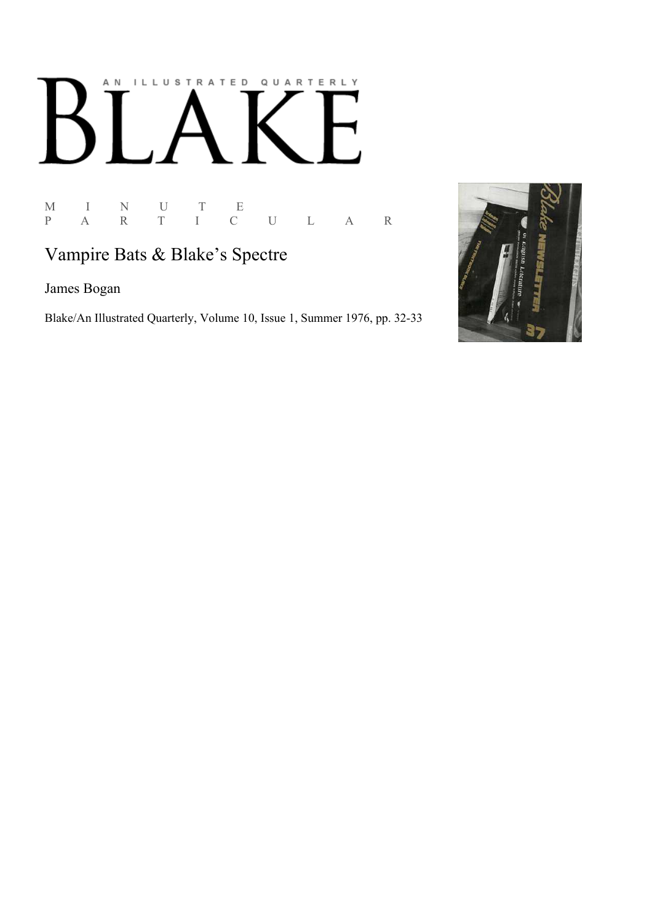# AN ILLUSTRATED QUARTERLY

M I N U T E P A R T I C U L A R

# Vampire Bats & Blake's Spectre

James Bogan

Blake/An Illustrated Quarterly, Volume 10, Issue 1, Summer 1976, pp. 32-33

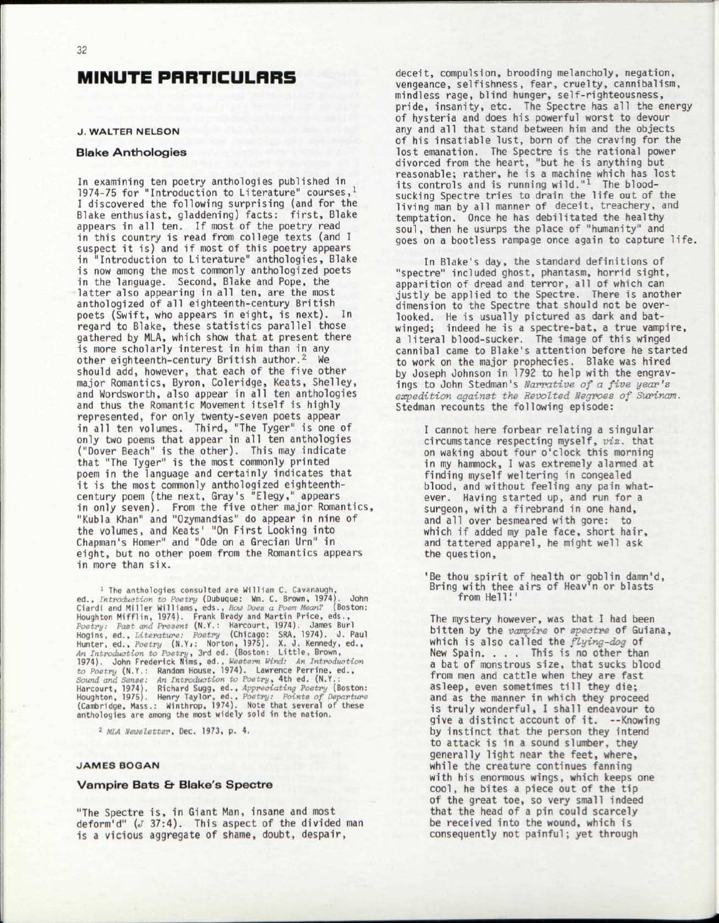## MINUTE PARTICULARS

### **J. WALTER NELSON**

### Blake Anthologies

In examining ten poetry anthologies published in 1974-75 for "Introduction to Literature" courses, 1 I discovered the following surprising (and for the Blake enthusiast, gladdening) facts: first, Blake appears in all ten. If most of the poetry read in this country is read from college texts (and I suspect it is) and if most of this poetry appears in "Introduction to Literature" anthologies, Blake is now among the most commonly anthologized poets in the language. Second, Blake and Pope, the latter also appearing in all ten, are the most anthologized of all eighteenth-century British poets (Swift, who appears in eight, is next). In regard to Blake, these statistics parallel those gathered by MLA, which show that at present there is more scholarly interest in him than in any other eighteenth-century British author.<sup>2</sup> We should add, however, that each of the five other major Romantics, Byron, Coleridge, Keats, Shelley, and Wordsworth, also appear in all ten anthologies and thus the Romantic Movement itself is highly represented, for only twenty-seven poets appear in all ten volumes. Third, "The Tyger" is one of only two poems that appear in all ten anthologies ("Dover Beach" is the other). This may indicate that "The Tyger" is the most commonly printed poem in the language and certainly indicates that it is the most commonly anthologized eighteenthcentury poem (the next, Gray's "Elegy," appears in only seven). From the five other major Romantics, "Kubla Khan" and "Ozymandias" do appear in nine of the volumes, and Keats' "On First Looking into Chapman's Homer" and "Ode on a Grecian Urn" in eight, but no other poem from the Romantics appears in more than six.

<sup>1</sup> The anthologies consulted are William C. Cavanaugh,<br>
ed., *Introduction to Poetry* (Dubuque: Wm. C. Brown, 1974). John<br>
Ciardi and Miller Williams, eds., *How Does a Poem Meani*? (Boston:<br>
Houghton Mifflin, 1974). Fran Houghton, 1975). Henry Taylor, ed., *Poetry: Points of Departure*  (Cambridge, Mass.: Winthrop, 1974). Note that several of these anthologies are among the most widely sold in the nation.

2  *MLA Newsletter,* Dec. 1973, p. 4.

### **JAMES BOGAN**

### Vampire Bats & Blake's Spectre

"The Spectre is, in Giant Man, insane and most deform'd"  $(J \ 37:4)$ . This aspect of the divided man is a vicious aggregate of shame, doubt, despair,

deceit, compulsion, brooding melancholy, negation, vengeance, selfishness, fear, cruelty, cannibalism, mindless rage, blind hunger, self-righteousness, pride, insanity, etc. The Spectre has all the energy of hysteria and does his powerful worst to devour any and all that stand between him and the objects of his insatiable lust, born of the craving for the lost emanation. The Spectre is the rational power divorced from the heart, "but he is anything but reasonable; rather, he is a machine which has lost its controls and is running wild."1 The bloodsucking Spectre tries to drain the life out of the living man by all manner of deceit, treachery, and temptation. Once he has debilitated the healthy soul, then he usurps the place of "humanity" and goes on a bootless rampage once again to capture life.

In Blake's day, the standard definitions of "spectre" included ghost, phantasm, horrid sight, apparition of dread and terror, all of which can justly be applied to the Spectre. There is another dimension to the Spectre that should not be overlooked. He is usually pictured as dark and batwinged; indeed he is a spectre-bat, a true vampire, a literal blood-sucker. The image of this winged cannibal came to Blake's attention before he started to work on the major prophecies. Blake was hired by Joseph Johnson in 1792 to help with the engravings to John Stedman's *Narrative of a five year's expedition against the Revolted Negroes of Surinam.*  Stedman recounts the following episode:

I cannot here forbear relating a singular circumstance respecting myself, *viz.* that on waking about four o'clock this morning in my hammock, I was extremely alarmed at finding myself weltering in congealed blood, and without feeling any pain whatever. Having started up, and run for a surgeon, with a firebrand in one hand, and all over besmeared with gore: to which if added my pale face, short hair, and tattered apparel, he might well ask the question,

'Be thou spirit of health or goblin damn'd, Bring with thee airs of Heav'n or blasts from Hell!'

The mystery however, was that I had been bitten by the *vampire* or *spectre* of Guiana, which is also called the *flying-dog* of New Spain. . . . This is no other than a bat of monstrous size, that sucks blood from men and cattle when they are fast asleep, even sometimes till they die; and as the manner in which they proceed is truly wonderful, I shall endeavour to give a distinct account of it. --Knowing by instinct that the person they intend to attack is in a sound slumber, they generally light near the feet, where, while the creature continues fanning with his enormous wings, which keeps one cool, he bites a piece out of the tip of the great toe, so very small indeed that the head of a pin could scarcely be received into the wound, which is consequently not painful; yet through